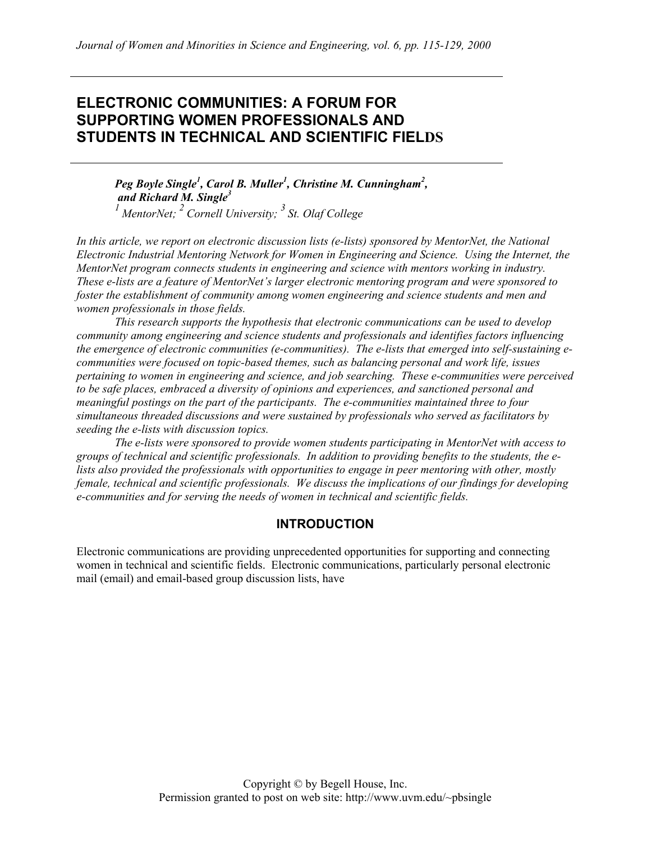# **ELECTRONIC COMMUNITIES: A FORUM FOR SUPPORTING WOMEN PROFESSIONALS AND STUDENTS IN TECHNICAL AND SCIENTIFIC FIELDS**

Peg Boyle Single<sup>1</sup>, Carol B. Muller<sup>1</sup>, Christine M. Cunningham<sup>2</sup>,  *and Richard M. Single3 1 MentorNet; 2 Cornell University; 3 St. Olaf College* 

*In this article, we report on electronic discussion lists (e-lists) sponsored by MentorNet, the National Electronic Industrial Mentoring Network for Women in Engineering and Science. Using the Internet, the MentorNet program connects students in engineering and science with mentors working in industry. These e-lists are a feature of MentorNet's larger electronic mentoring program and were sponsored to foster the establishment of community among women engineering and science students and men and women professionals in those fields.* 

*This research supports the hypothesis that electronic communications can be used to develop community among engineering and science students and professionals and identifies factors influencing the emergence of electronic communities (e-communities). The e-lists that emerged into self-sustaining ecommunities were focused on topic-based themes, such as balancing personal and work life, issues pertaining to women in engineering and science, and job searching. These e-communities were perceived to be safe places, embraced a diversity of opinions and experiences, and sanctioned personal and meaningful postings on the part of the participants. The e-communities maintained three to four simultaneous threaded discussions and were sustained by professionals who served as facilitators by seeding the e-lists with discussion topics.* 

*The e-lists were sponsored to provide women students participating in MentorNet with access to groups of technical and scientific professionals. In addition to providing benefits to the students, the elists also provided the professionals with opportunities to engage in peer mentoring with other, mostly female, technical and scientific professionals. We discuss the implications of our findings for developing e-communities and for serving the needs of women in technical and scientific fields.* 

# **INTRODUCTION**

Electronic communications are providing unprecedented opportunities for supporting and connecting women in technical and scientific fields. Electronic communications, particularly personal electronic mail (email) and email-based group discussion lists, have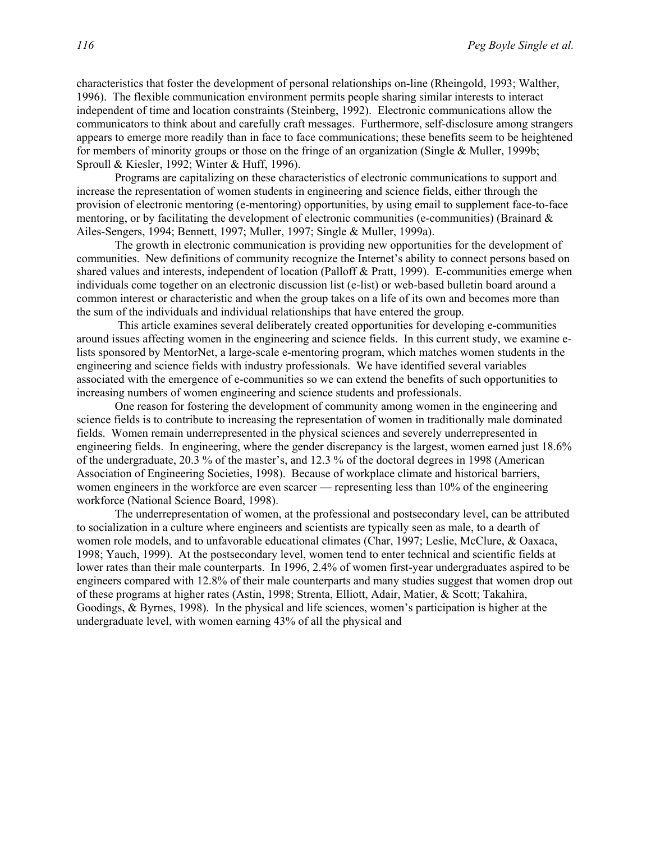characteristics that foster the development of personal relationships on-line (Rheingold, 1993; Walther, 1996). The flexible communication environment permits people sharing similar interests to interact independent of time and location constraints (Steinberg, 1992). Electronic communications allow the communicators to think about and carefully craft messages. Furthermore, self-disclosure among strangers appears to emerge more readily than in face to face communications; these benefits seem to be heightened for members of minority groups or those on the fringe of an organization (Single & Muller, 1999b; Sproull & Kiesler, 1992; Winter & Huff, 1996).

Programs are capitalizing on these characteristics of electronic communications to support and increase the representation of women students in engineering and science fields, either through the provision of electronic mentoring (e-mentoring) opportunities, by using email to supplement face-to-face mentoring, or by facilitating the development of electronic communities (e-communities) (Brainard  $\&$ Ailes-Sengers, 1994; Bennett, 1997; Muller, 1997; Single & Muller, 1999a).

The growth in electronic communication is providing new opportunities for the development of communities. New definitions of community recognize the Internet's ability to connect persons based on shared values and interests, independent of location (Palloff & Pratt, 1999). E-communities emerge when individuals come together on an electronic discussion list (e-list) or web-based bulletin board around a common interest or characteristic and when the group takes on a life of its own and becomes more than the sum of the individuals and individual relationships that have entered the group.

 This article examines several deliberately created opportunities for developing e-communities around issues affecting women in the engineering and science fields. In this current study, we examine elists sponsored by MentorNet, a large-scale e-mentoring program, which matches women students in the engineering and science fields with industry professionals. We have identified several variables associated with the emergence of e-communities so we can extend the benefits of such opportunities to increasing numbers of women engineering and science students and professionals.

One reason for fostering the development of community among women in the engineering and science fields is to contribute to increasing the representation of women in traditionally male dominated fields. Women remain underrepresented in the physical sciences and severely underrepresented in engineering fields. In engineering, where the gender discrepancy is the largest, women earned just 18.6% of the undergraduate, 20.3 % of the master's, and 12.3 % of the doctoral degrees in 1998 (American Association of Engineering Societies, 1998). Because of workplace climate and historical barriers, women engineers in the workforce are even scarcer — representing less than 10% of the engineering workforce (National Science Board, 1998).

The underrepresentation of women, at the professional and postsecondary level, can be attributed to socialization in a culture where engineers and scientists are typically seen as male, to a dearth of women role models, and to unfavorable educational climates (Char, 1997; Leslie, McClure, & Oaxaca, 1998; Yauch, 1999). At the postsecondary level, women tend to enter technical and scientific fields at lower rates than their male counterparts. In 1996, 2.4% of women first-year undergraduates aspired to be engineers compared with 12.8% of their male counterparts and many studies suggest that women drop out of these programs at higher rates (Astin, 1998; Strenta, Elliott, Adair, Matier, & Scott; Takahira, Goodings, & Byrnes, 1998). In the physical and life sciences, women's participation is higher at the undergraduate level, with women earning 43% of all the physical and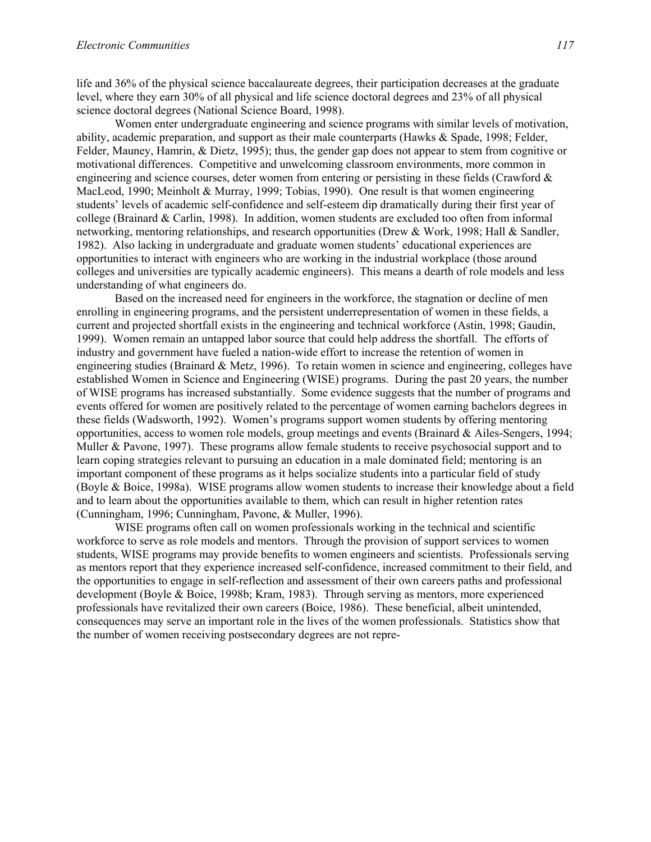life and 36% of the physical science baccalaureate degrees, their participation decreases at the graduate level, where they earn 30% of all physical and life science doctoral degrees and 23% of all physical science doctoral degrees (National Science Board, 1998).

Women enter undergraduate engineering and science programs with similar levels of motivation, ability, academic preparation, and support as their male counterparts (Hawks & Spade, 1998; Felder, Felder, Mauney, Hamrin, & Dietz, 1995); thus, the gender gap does not appear to stem from cognitive or motivational differences. Competitive and unwelcoming classroom environments, more common in engineering and science courses, deter women from entering or persisting in these fields (Crawford & MacLeod, 1990; Meinholt & Murray, 1999; Tobias, 1990). One result is that women engineering students' levels of academic self-confidence and self-esteem dip dramatically during their first year of college (Brainard & Carlin, 1998). In addition, women students are excluded too often from informal networking, mentoring relationships, and research opportunities (Drew & Work, 1998; Hall & Sandler, 1982). Also lacking in undergraduate and graduate women students' educational experiences are opportunities to interact with engineers who are working in the industrial workplace (those around colleges and universities are typically academic engineers). This means a dearth of role models and less understanding of what engineers do.

Based on the increased need for engineers in the workforce, the stagnation or decline of men enrolling in engineering programs, and the persistent underrepresentation of women in these fields, a current and projected shortfall exists in the engineering and technical workforce (Astin, 1998; Gaudin, 1999). Women remain an untapped labor source that could help address the shortfall. The efforts of industry and government have fueled a nation-wide effort to increase the retention of women in engineering studies (Brainard & Metz, 1996). To retain women in science and engineering, colleges have established Women in Science and Engineering (WISE) programs. During the past 20 years, the number of WISE programs has increased substantially. Some evidence suggests that the number of programs and events offered for women are positively related to the percentage of women earning bachelors degrees in these fields (Wadsworth, 1992). Women's programs support women students by offering mentoring opportunities, access to women role models, group meetings and events (Brainard & Ailes-Sengers, 1994; Muller & Pavone, 1997). These programs allow female students to receive psychosocial support and to learn coping strategies relevant to pursuing an education in a male dominated field; mentoring is an important component of these programs as it helps socialize students into a particular field of study (Boyle & Boice, 1998a). WISE programs allow women students to increase their knowledge about a field and to learn about the opportunities available to them, which can result in higher retention rates (Cunningham, 1996; Cunningham, Pavone, & Muller, 1996).

WISE programs often call on women professionals working in the technical and scientific workforce to serve as role models and mentors. Through the provision of support services to women students, WISE programs may provide benefits to women engineers and scientists. Professionals serving as mentors report that they experience increased self-confidence, increased commitment to their field, and the opportunities to engage in self-reflection and assessment of their own careers paths and professional development (Boyle & Boice, 1998b; Kram, 1983). Through serving as mentors, more experienced professionals have revitalized their own careers (Boice, 1986). These beneficial, albeit unintended, consequences may serve an important role in the lives of the women professionals. Statistics show that the number of women receiving postsecondary degrees are not repre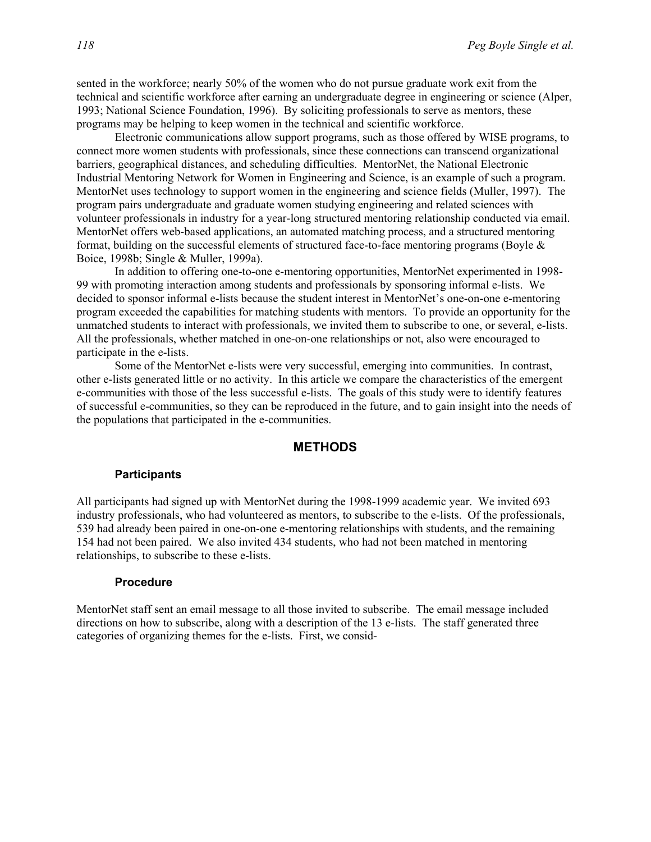sented in the workforce; nearly 50% of the women who do not pursue graduate work exit from the technical and scientific workforce after earning an undergraduate degree in engineering or science (Alper, 1993; National Science Foundation, 1996). By soliciting professionals to serve as mentors, these programs may be helping to keep women in the technical and scientific workforce.

Electronic communications allow support programs, such as those offered by WISE programs, to connect more women students with professionals, since these connections can transcend organizational barriers, geographical distances, and scheduling difficulties. MentorNet, the National Electronic Industrial Mentoring Network for Women in Engineering and Science, is an example of such a program. MentorNet uses technology to support women in the engineering and science fields (Muller, 1997). The program pairs undergraduate and graduate women studying engineering and related sciences with volunteer professionals in industry for a year-long structured mentoring relationship conducted via email. MentorNet offers web-based applications, an automated matching process, and a structured mentoring format, building on the successful elements of structured face-to-face mentoring programs (Boyle  $\&$ Boice, 1998b; Single & Muller, 1999a).

In addition to offering one-to-one e-mentoring opportunities, MentorNet experimented in 1998- 99 with promoting interaction among students and professionals by sponsoring informal e-lists. We decided to sponsor informal e-lists because the student interest in MentorNet's one-on-one e-mentoring program exceeded the capabilities for matching students with mentors. To provide an opportunity for the unmatched students to interact with professionals, we invited them to subscribe to one, or several, e-lists. All the professionals, whether matched in one-on-one relationships or not, also were encouraged to participate in the e-lists.

Some of the MentorNet e-lists were very successful, emerging into communities. In contrast, other e-lists generated little or no activity. In this article we compare the characteristics of the emergent e-communities with those of the less successful e-lists. The goals of this study were to identify features of successful e-communities, so they can be reproduced in the future, and to gain insight into the needs of the populations that participated in the e-communities.

#### **METHODS**

#### **Participants**

All participants had signed up with MentorNet during the 1998-1999 academic year. We invited 693 industry professionals, who had volunteered as mentors, to subscribe to the e-lists. Of the professionals, 539 had already been paired in one-on-one e-mentoring relationships with students, and the remaining 154 had not been paired. We also invited 434 students, who had not been matched in mentoring relationships, to subscribe to these e-lists.

#### **Procedure**

MentorNet staff sent an email message to all those invited to subscribe. The email message included directions on how to subscribe, along with a description of the 13 e-lists. The staff generated three categories of organizing themes for the e-lists. First, we consid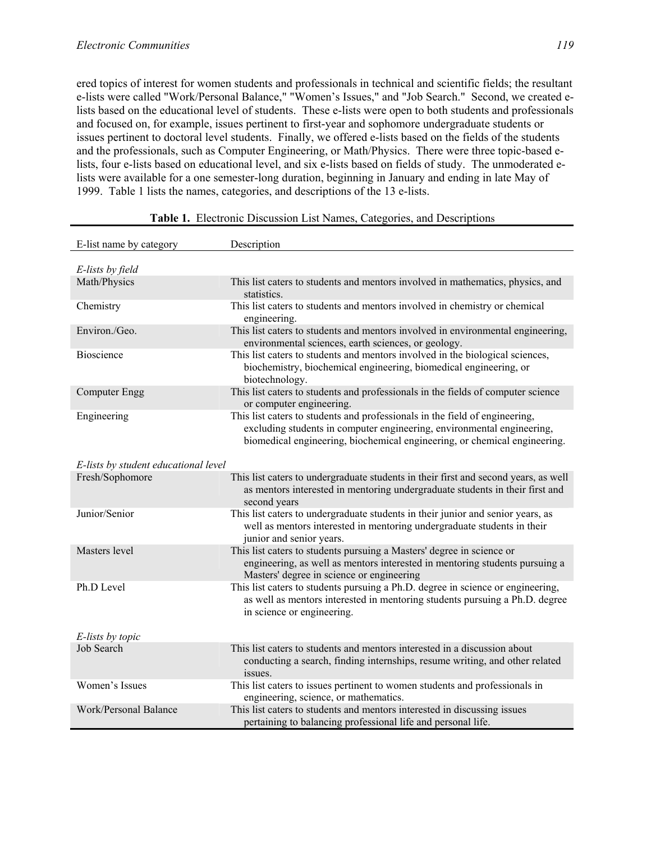ered topics of interest for women students and professionals in technical and scientific fields; the resultant e-lists were called "Work/Personal Balance," "Women's Issues," and "Job Search." Second, we created elists based on the educational level of students. These e-lists were open to both students and professionals and focused on, for example, issues pertinent to first-year and sophomore undergraduate students or issues pertinent to doctoral level students. Finally, we offered e-lists based on the fields of the students and the professionals, such as Computer Engineering, or Math/Physics. There were three topic-based elists, four e-lists based on educational level, and six e-lists based on fields of study. The unmoderated elists were available for a one semester-long duration, beginning in January and ending in late May of 1999. Table 1 lists the names, categories, and descriptions of the 13 e-lists.

| E-list name by category              | Description                                                                                                                                                                                                                        |
|--------------------------------------|------------------------------------------------------------------------------------------------------------------------------------------------------------------------------------------------------------------------------------|
| E-lists by field                     |                                                                                                                                                                                                                                    |
| Math/Physics                         | This list caters to students and mentors involved in mathematics, physics, and<br>statistics.                                                                                                                                      |
| Chemistry                            | This list caters to students and mentors involved in chemistry or chemical<br>engineering.                                                                                                                                         |
| Environ./Geo.                        | This list caters to students and mentors involved in environmental engineering,<br>environmental sciences, earth sciences, or geology.                                                                                             |
| <b>Bioscience</b>                    | This list caters to students and mentors involved in the biological sciences,<br>biochemistry, biochemical engineering, biomedical engineering, or<br>biotechnology.                                                               |
| <b>Computer Engg</b>                 | This list caters to students and professionals in the fields of computer science<br>or computer engineering.                                                                                                                       |
| Engineering                          | This list caters to students and professionals in the field of engineering,<br>excluding students in computer engineering, environmental engineering,<br>biomedical engineering, biochemical engineering, or chemical engineering. |
| E-lists by student educational level |                                                                                                                                                                                                                                    |
| Fresh/Sophomore                      | This list caters to undergraduate students in their first and second years, as well<br>as mentors interested in mentoring undergraduate students in their first and<br>second years                                                |
| Junior/Senior                        | This list caters to undergraduate students in their junior and senior years, as<br>well as mentors interested in mentoring undergraduate students in their<br>junior and senior years.                                             |
| Masters level                        | This list caters to students pursuing a Masters' degree in science or<br>engineering, as well as mentors interested in mentoring students pursuing a<br>Masters' degree in science or engineering                                  |
| Ph.D Level                           | This list caters to students pursuing a Ph.D. degree in science or engineering,<br>as well as mentors interested in mentoring students pursuing a Ph.D. degree<br>in science or engineering.                                       |
| E-lists by topic                     |                                                                                                                                                                                                                                    |
| <b>Job Search</b>                    | This list caters to students and mentors interested in a discussion about<br>conducting a search, finding internships, resume writing, and other related<br>issues.                                                                |
| Women's Issues                       | This list caters to issues pertinent to women students and professionals in<br>engineering, science, or mathematics.                                                                                                               |
| Work/Personal Balance                | This list caters to students and mentors interested in discussing issues<br>pertaining to balancing professional life and personal life.                                                                                           |

### **Table 1.** Electronic Discussion List Names, Categories, and Descriptions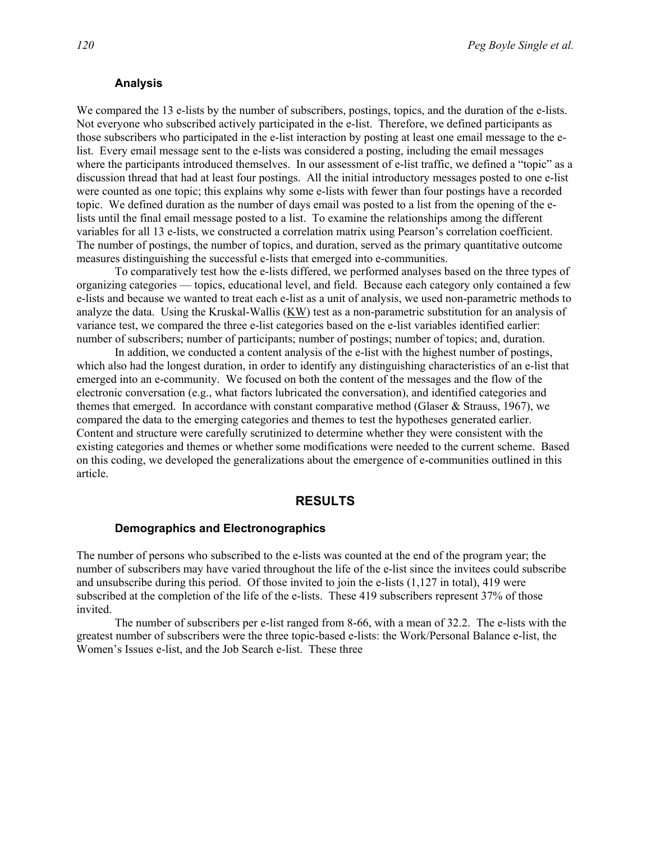#### **Analysis**

We compared the 13 e-lists by the number of subscribers, postings, topics, and the duration of the e-lists. Not everyone who subscribed actively participated in the e-list. Therefore, we defined participants as those subscribers who participated in the e-list interaction by posting at least one email message to the elist. Every email message sent to the e-lists was considered a posting, including the email messages where the participants introduced themselves. In our assessment of e-list traffic, we defined a "topic" as a discussion thread that had at least four postings. All the initial introductory messages posted to one e-list were counted as one topic; this explains why some e-lists with fewer than four postings have a recorded topic. We defined duration as the number of days email was posted to a list from the opening of the elists until the final email message posted to a list. To examine the relationships among the different variables for all 13 e-lists, we constructed a correlation matrix using Pearson's correlation coefficient. The number of postings, the number of topics, and duration, served as the primary quantitative outcome measures distinguishing the successful e-lists that emerged into e-communities.

To comparatively test how the e-lists differed, we performed analyses based on the three types of organizing categories — topics, educational level, and field. Because each category only contained a few e-lists and because we wanted to treat each e-list as a unit of analysis, we used non-parametric methods to analyze the data. Using the Kruskal-Wallis (KW) test as a non-parametric substitution for an analysis of variance test, we compared the three e-list categories based on the e-list variables identified earlier: number of subscribers; number of participants; number of postings; number of topics; and, duration.

In addition, we conducted a content analysis of the e-list with the highest number of postings, which also had the longest duration, in order to identify any distinguishing characteristics of an e-list that emerged into an e-community. We focused on both the content of the messages and the flow of the electronic conversation (e.g., what factors lubricated the conversation), and identified categories and themes that emerged. In accordance with constant comparative method (Glaser & Strauss, 1967), we compared the data to the emerging categories and themes to test the hypotheses generated earlier. Content and structure were carefully scrutinized to determine whether they were consistent with the existing categories and themes or whether some modifications were needed to the current scheme. Based on this coding, we developed the generalizations about the emergence of e-communities outlined in this article.

#### **RESULTS**

#### **Demographics and Electronographics**

The number of persons who subscribed to the e-lists was counted at the end of the program year; the number of subscribers may have varied throughout the life of the e-list since the invitees could subscribe and unsubscribe during this period. Of those invited to join the e-lists  $(1,127)$  in total), 419 were subscribed at the completion of the life of the e-lists. These 419 subscribers represent 37% of those invited.

The number of subscribers per e-list ranged from 8-66, with a mean of 32.2. The e-lists with the greatest number of subscribers were the three topic-based e-lists: the Work/Personal Balance e-list, the Women's Issues e-list, and the Job Search e-list. These three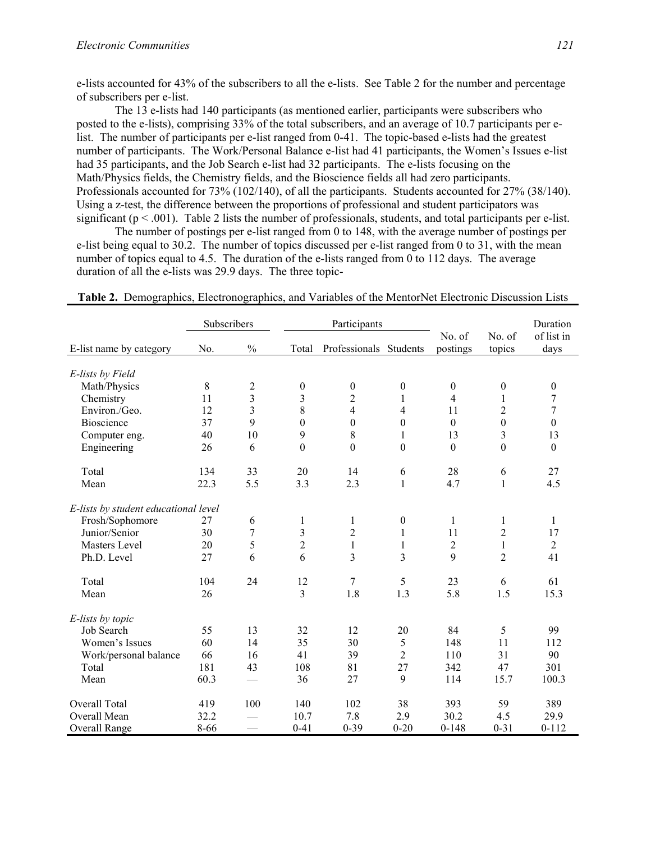e-lists accounted for 43% of the subscribers to all the e-lists. See Table 2 for the number and percentage of subscribers per e-list.

The 13 e-lists had 140 participants (as mentioned earlier, participants were subscribers who posted to the e-lists), comprising 33% of the total subscribers, and an average of 10.7 participants per elist. The number of participants per e-list ranged from 0-41. The topic-based e-lists had the greatest number of participants. The Work/Personal Balance e-list had 41 participants, the Women's Issues e-list had 35 participants, and the Job Search e-list had 32 participants. The e-lists focusing on the Math/Physics fields, the Chemistry fields, and the Bioscience fields all had zero participants. Professionals accounted for 73% (102/140), of all the participants. Students accounted for 27% (38/140). Using a z-test, the difference between the proportions of professional and student participators was significant ( $p < .001$ ). Table 2 lists the number of professionals, students, and total participants per e-list.

The number of postings per e-list ranged from 0 to 148, with the average number of postings per e-list being equal to 30.2. The number of topics discussed per e-list ranged from 0 to 31, with the mean number of topics equal to 4.5. The duration of the e-lists ranged from 0 to 112 days. The average duration of all the e-lists was 29.9 days. The three topic-

|                                      | Subscribers |                  | Participants     |                        |                  |                    | Duration         |                    |
|--------------------------------------|-------------|------------------|------------------|------------------------|------------------|--------------------|------------------|--------------------|
| E-list name by category              | No.         | $\frac{0}{0}$    | Total            | Professionals Students |                  | No. of<br>postings | No. of<br>topics | of list in<br>days |
|                                      |             |                  |                  |                        |                  |                    |                  |                    |
| E-lists by Field                     |             |                  |                  |                        |                  |                    |                  |                    |
| Math/Physics                         | 8           | $\overline{c}$   | $\boldsymbol{0}$ | $\boldsymbol{0}$       | $\boldsymbol{0}$ | $\boldsymbol{0}$   | $\boldsymbol{0}$ | $\boldsymbol{0}$   |
| Chemistry                            | 11          | $\overline{3}$   | 3                | $\overline{2}$         | 1                | $\overline{4}$     | $\mathbf{1}$     | 7                  |
| Environ./Geo.                        | 12          | 3                | 8                | $\overline{4}$         | 4                | 11                 | $\overline{2}$   | $\tau$             |
| Bioscience                           | 37          | 9                | $\boldsymbol{0}$ | $\mathbf{0}$           | $\mathbf{0}$     | $\boldsymbol{0}$   | $\boldsymbol{0}$ | $\boldsymbol{0}$   |
| Computer eng.                        | 40          | 10               | 9                | 8                      | 1                | 13                 | $\overline{3}$   | 13                 |
| Engineering                          | 26          | 6                | $\boldsymbol{0}$ | $\overline{0}$         | $\boldsymbol{0}$ | $\boldsymbol{0}$   | $\overline{0}$   | $\boldsymbol{0}$   |
| Total                                | 134         | 33               | 20               | 14                     | 6                | 28                 | 6                | 27                 |
| Mean                                 | 22.3        | 5.5              | 3.3              | 2.3                    | $\mathbf{1}$     | 4.7                | $\mathbf{1}$     | 4.5                |
| E-lists by student educational level |             |                  |                  |                        |                  |                    |                  |                    |
| Frosh/Sophomore                      | 27          | 6                | $\mathbf{1}$     | 1                      | $\boldsymbol{0}$ | $\mathbf{1}$       | 1                | $\mathbf{1}$       |
| Junior/Senior                        | 30          | $\boldsymbol{7}$ | $\mathfrak{Z}$   | $\overline{c}$         | 1                | 11                 | $\overline{c}$   | 17                 |
| Masters Level                        | 20          | 5                | $\overline{c}$   | $\mathbf{1}$           | 1                | $\overline{c}$     | $\mathbf{1}$     | $\overline{2}$     |
| Ph.D. Level                          | 27          | 6                | 6                | 3                      | 3                | 9                  | $\overline{2}$   | 41                 |
| Total                                | 104         | 24               | 12               | $\tau$                 | 5                | 23                 | 6                | 61                 |
| Mean                                 | 26          |                  | $\overline{3}$   | 1.8                    | 1.3              | 5.8                | 1.5              | 15.3               |
| E-lists by topic                     |             |                  |                  |                        |                  |                    |                  |                    |
| Job Search                           | 55          | 13               | 32               | 12                     | 20               | 84                 | 5                | 99                 |
| Women's Issues                       | 60          | 14               | 35               | 30                     | 5                | 148                | 11               | 112                |
| Work/personal balance                | 66          | 16               | 41               | 39                     | $\overline{2}$   | 110                | 31               | 90                 |
| Total                                | 181         | 43               | 108              | 81                     | 27               | 342                | 47               | 301                |
| Mean                                 | 60.3        |                  | 36               | 27                     | 9                | 114                | 15.7             | 100.3              |
| Overall Total                        | 419         | 100              | 140              | 102                    | 38               | 393                | 59               | 389                |
| Overall Mean                         | 32.2        |                  | 10.7             | 7.8                    | 2.9              | 30.2               | 4.5              | 29.9               |
| Overall Range                        | 8-66        |                  | $0 - 41$         | $0 - 39$               | $0 - 20$         | $0 - 148$          | $0 - 31$         | $0 - 112$          |

**Table 2.** Demographics, Electronographics, and Variables of the MentorNet Electronic Discussion Lists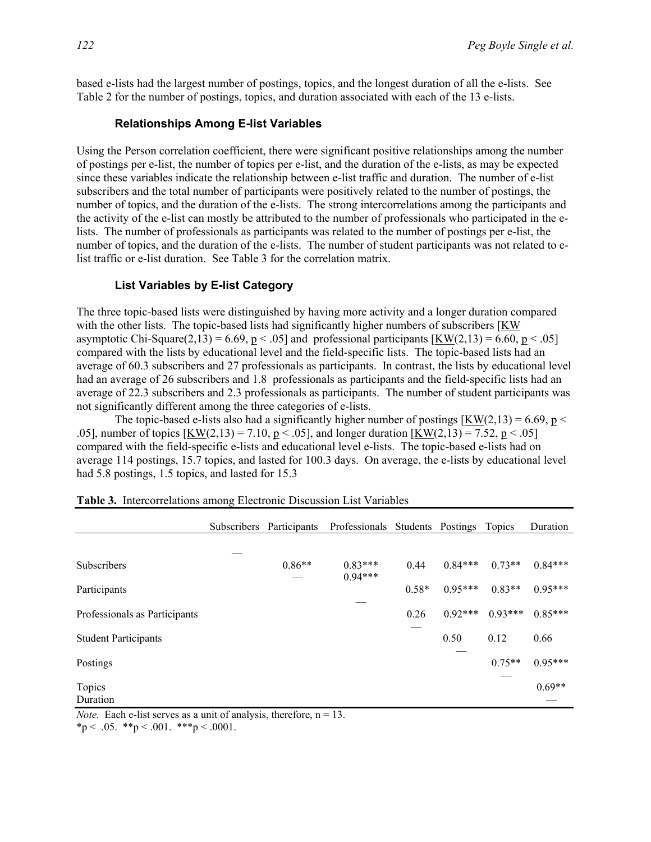based e-lists had the largest number of postings, topics, and the longest duration of all the e-lists. See Table 2 for the number of postings, topics, and duration associated with each of the 13 e-lists.

#### **Relationships Among E-list Variables**

Using the Person correlation coefficient, there were significant positive relationships among the number of postings per e-list, the number of topics per e-list, and the duration of the e-lists, as may be expected since these variables indicate the relationship between e-list traffic and duration. The number of e-list subscribers and the total number of participants were positively related to the number of postings, the number of topics, and the duration of the e-lists. The strong intercorrelations among the participants and the activity of the e-list can mostly be attributed to the number of professionals who participated in the elists. The number of professionals as participants was related to the number of postings per e-list, the number of topics, and the duration of the e-lists. The number of student participants was not related to elist traffic or e-list duration. See Table 3 for the correlation matrix.

#### **List Variables by E-list Category**

The three topic-based lists were distinguished by having more activity and a longer duration compared with the other lists. The topic-based lists had significantly higher numbers of subscribers [KW asymptotic Chi-Square(2,13) = 6.69, p < .05] and professional participants  $KW(2,13) = 6.60, p \lt 0.05$ compared with the lists by educational level and the field-specific lists. The topic-based lists had an average of 60.3 subscribers and 27 professionals as participants. In contrast, the lists by educational level had an average of 26 subscribers and 1.8 professionals as participants and the field-specific lists had an average of 22.3 subscribers and 2.3 professionals as participants. The number of student participants was not significantly different among the three categories of e-lists.

The topic-based e-lists also had a significantly higher number of postings  $KW(2,13) = 6.69$ ,  $p <$ .05], number of topics  $KW(2,13) = 7.10$ ,  $p < .05$ ], and longer duration  $KW(2,13) = 7.52$ ,  $p < .05$ ] compared with the field-specific e-lists and educational level e-lists. The topic-based e-lists had on average 114 postings, 15.7 topics, and lasted for 100.3 days. On average, the e-lists by educational level had 5.8 postings, 1.5 topics, and lasted for 15.3

|                               | Subscribers Participants | Professionals Students Postings |         |           | Topics    | Duration  |
|-------------------------------|--------------------------|---------------------------------|---------|-----------|-----------|-----------|
|                               |                          |                                 |         |           |           |           |
| <b>Subscribers</b>            | $0.86**$                 | $0.83***$<br>$0.94***$          | 0.44    | $0.84***$ | $0.73**$  | $0.84***$ |
| Participants                  |                          |                                 | $0.58*$ | $0.95***$ | $0.83**$  | $0.95***$ |
| Professionals as Participants |                          |                                 | 0.26    | $0.92***$ | $0.93***$ | $0.85***$ |
| <b>Student Participants</b>   |                          |                                 |         | 0.50      | 0.12      | 0.66      |
| Postings                      |                          |                                 |         |           | $0.75**$  | $0.95***$ |
| Topics<br>Duration            |                          |                                 |         |           |           | $0.69**$  |

|  | Table 3. Intercorrelations among Electronic Discussion List Variables |  |  |  |  |  |
|--|-----------------------------------------------------------------------|--|--|--|--|--|
|--|-----------------------------------------------------------------------|--|--|--|--|--|

*Note.* Each e-list serves as a unit of analysis, therefore,  $n = 13$ .

\*p < .05. \*\*p < .001. \*\*\*p < .0001.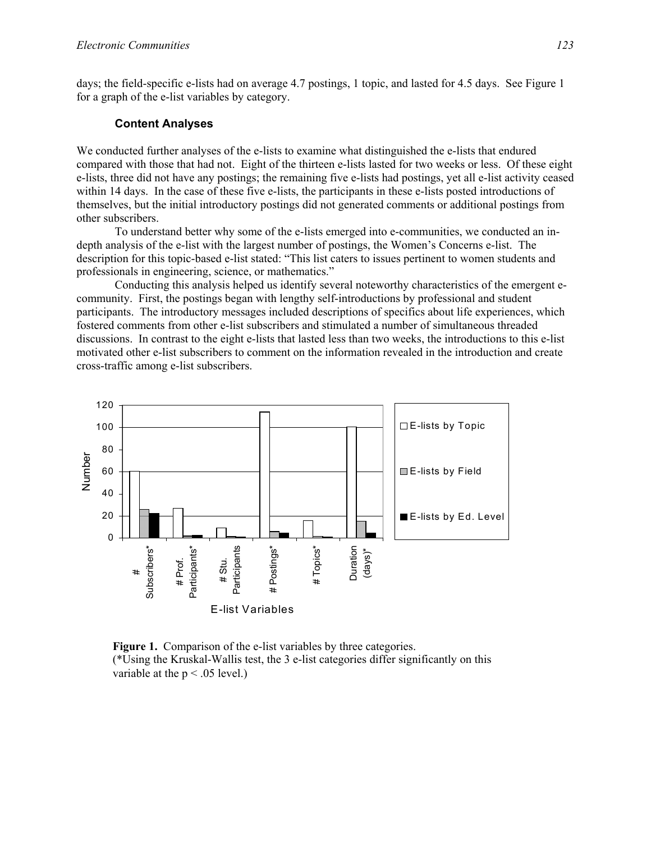days; the field-specific e-lists had on average 4.7 postings, 1 topic, and lasted for 4.5 days. See Figure 1 for a graph of the e-list variables by category.

#### **Content Analyses**

We conducted further analyses of the e-lists to examine what distinguished the e-lists that endured compared with those that had not. Eight of the thirteen e-lists lasted for two weeks or less. Of these eight e-lists, three did not have any postings; the remaining five e-lists had postings, yet all e-list activity ceased within 14 days. In the case of these five e-lists, the participants in these e-lists posted introductions of themselves, but the initial introductory postings did not generated comments or additional postings from other subscribers.

To understand better why some of the e-lists emerged into e-communities, we conducted an indepth analysis of the e-list with the largest number of postings, the Women's Concerns e-list. The description for this topic-based e-list stated: "This list caters to issues pertinent to women students and professionals in engineering, science, or mathematics."

Conducting this analysis helped us identify several noteworthy characteristics of the emergent ecommunity. First, the postings began with lengthy self-introductions by professional and student participants. The introductory messages included descriptions of specifics about life experiences, which fostered comments from other e-list subscribers and stimulated a number of simultaneous threaded discussions. In contrast to the eight e-lists that lasted less than two weeks, the introductions to this e-list motivated other e-list subscribers to comment on the information revealed in the introduction and create cross-traffic among e-list subscribers.



**Figure 1.** Comparison of the e-list variables by three categories. (\*Using the Kruskal-Wallis test, the 3 e-list categories differ significantly on this variable at the  $p < .05$  level.)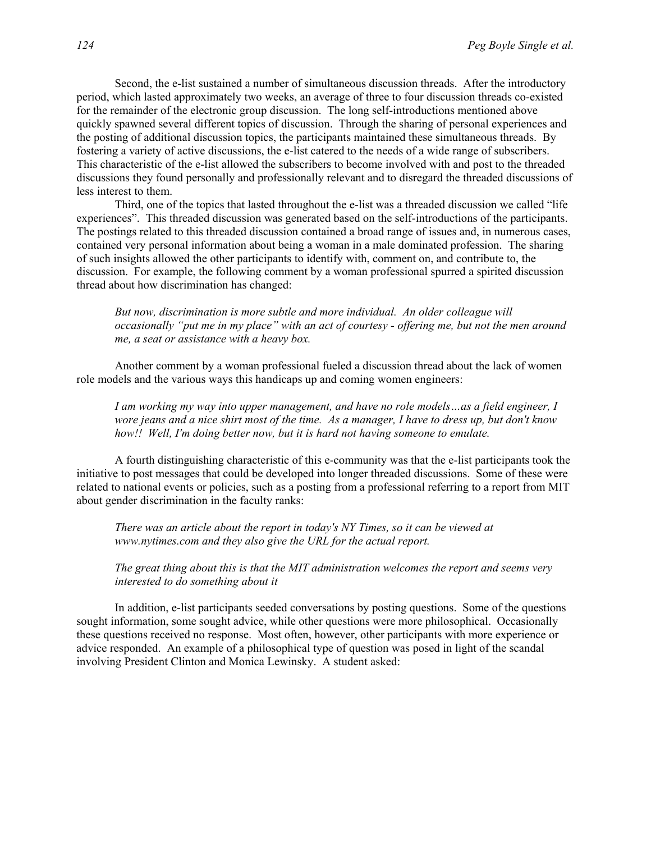Second, the e-list sustained a number of simultaneous discussion threads. After the introductory period, which lasted approximately two weeks, an average of three to four discussion threads co-existed for the remainder of the electronic group discussion. The long self-introductions mentioned above quickly spawned several different topics of discussion. Through the sharing of personal experiences and the posting of additional discussion topics, the participants maintained these simultaneous threads. By fostering a variety of active discussions, the e-list catered to the needs of a wide range of subscribers. This characteristic of the e-list allowed the subscribers to become involved with and post to the threaded discussions they found personally and professionally relevant and to disregard the threaded discussions of less interest to them.

Third, one of the topics that lasted throughout the e-list was a threaded discussion we called "life experiences". This threaded discussion was generated based on the self-introductions of the participants. The postings related to this threaded discussion contained a broad range of issues and, in numerous cases, contained very personal information about being a woman in a male dominated profession. The sharing of such insights allowed the other participants to identify with, comment on, and contribute to, the discussion. For example, the following comment by a woman professional spurred a spirited discussion thread about how discrimination has changed:

*But now, discrimination is more subtle and more individual. An older colleague will occasionally "put me in my place" with an act of courtesy - offering me, but not the men around me, a seat or assistance with a heavy box.* 

Another comment by a woman professional fueled a discussion thread about the lack of women role models and the various ways this handicaps up and coming women engineers:

*I am working my way into upper management, and have no role models…as a field engineer, I wore jeans and a nice shirt most of the time. As a manager, I have to dress up, but don't know how!! Well, I'm doing better now, but it is hard not having someone to emulate.* 

A fourth distinguishing characteristic of this e-community was that the e-list participants took the initiative to post messages that could be developed into longer threaded discussions. Some of these were related to national events or policies, such as a posting from a professional referring to a report from MIT about gender discrimination in the faculty ranks:

*There was an article about the report in today's NY Times, so it can be viewed at www.nytimes.com and they also give the URL for the actual report.* 

*The great thing about this is that the MIT administration welcomes the report and seems very interested to do something about it* 

In addition, e-list participants seeded conversations by posting questions. Some of the questions sought information, some sought advice, while other questions were more philosophical. Occasionally these questions received no response. Most often, however, other participants with more experience or advice responded. An example of a philosophical type of question was posed in light of the scandal involving President Clinton and Monica Lewinsky. A student asked: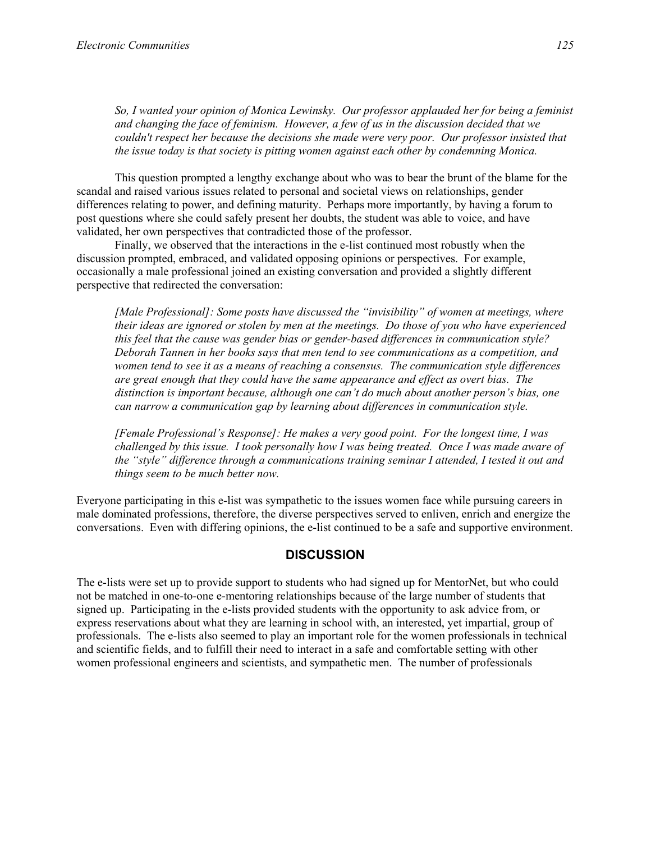*So, I wanted your opinion of Monica Lewinsky. Our professor applauded her for being a feminist and changing the face of feminism. However, a few of us in the discussion decided that we couldn't respect her because the decisions she made were very poor. Our professor insisted that the issue today is that society is pitting women against each other by condemning Monica.* 

This question prompted a lengthy exchange about who was to bear the brunt of the blame for the scandal and raised various issues related to personal and societal views on relationships, gender differences relating to power, and defining maturity. Perhaps more importantly, by having a forum to post questions where she could safely present her doubts, the student was able to voice, and have validated, her own perspectives that contradicted those of the professor.

Finally, we observed that the interactions in the e-list continued most robustly when the discussion prompted, embraced, and validated opposing opinions or perspectives. For example, occasionally a male professional joined an existing conversation and provided a slightly different perspective that redirected the conversation:

*[Male Professional]: Some posts have discussed the "invisibility" of women at meetings, where their ideas are ignored or stolen by men at the meetings. Do those of you who have experienced this feel that the cause was gender bias or gender-based differences in communication style? Deborah Tannen in her books says that men tend to see communications as a competition, and women tend to see it as a means of reaching a consensus. The communication style differences are great enough that they could have the same appearance and effect as overt bias. The distinction is important because, although one can't do much about another person's bias, one can narrow a communication gap by learning about differences in communication style.* 

*[Female Professional's Response]: He makes a very good point. For the longest time, I was challenged by this issue. I took personally how I was being treated. Once I was made aware of the "style" difference through a communications training seminar I attended, I tested it out and things seem to be much better now.* 

Everyone participating in this e-list was sympathetic to the issues women face while pursuing careers in male dominated professions, therefore, the diverse perspectives served to enliven, enrich and energize the conversations. Even with differing opinions, the e-list continued to be a safe and supportive environment.

# **DISCUSSION**

The e-lists were set up to provide support to students who had signed up for MentorNet, but who could not be matched in one-to-one e-mentoring relationships because of the large number of students that signed up. Participating in the e-lists provided students with the opportunity to ask advice from, or express reservations about what they are learning in school with, an interested, yet impartial, group of professionals. The e-lists also seemed to play an important role for the women professionals in technical and scientific fields, and to fulfill their need to interact in a safe and comfortable setting with other women professional engineers and scientists, and sympathetic men. The number of professionals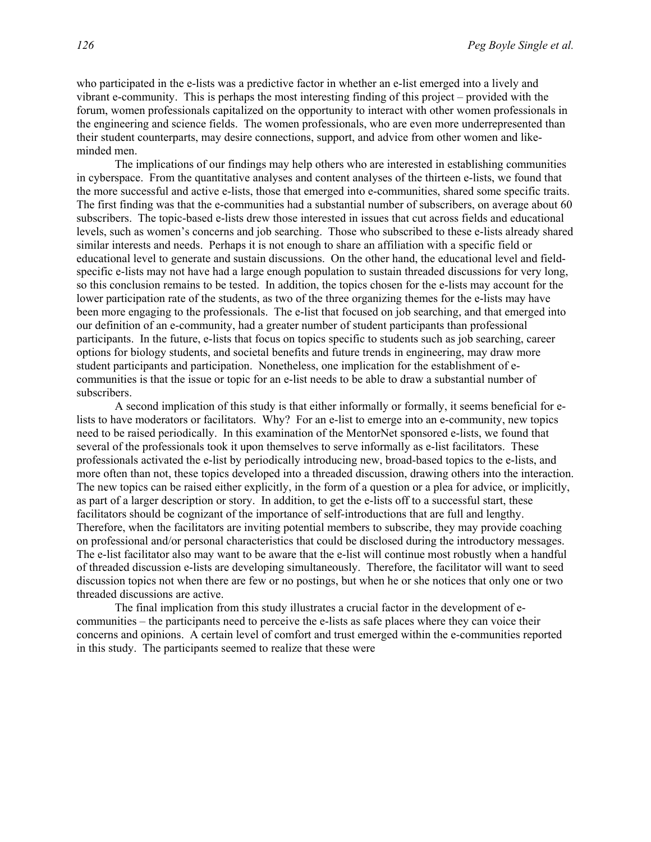who participated in the e-lists was a predictive factor in whether an e-list emerged into a lively and vibrant e-community. This is perhaps the most interesting finding of this project – provided with the forum, women professionals capitalized on the opportunity to interact with other women professionals in the engineering and science fields. The women professionals, who are even more underrepresented than their student counterparts, may desire connections, support, and advice from other women and likeminded men.

The implications of our findings may help others who are interested in establishing communities in cyberspace. From the quantitative analyses and content analyses of the thirteen e-lists, we found that the more successful and active e-lists, those that emerged into e-communities, shared some specific traits. The first finding was that the e-communities had a substantial number of subscribers, on average about 60 subscribers. The topic-based e-lists drew those interested in issues that cut across fields and educational levels, such as women's concerns and job searching. Those who subscribed to these e-lists already shared similar interests and needs. Perhaps it is not enough to share an affiliation with a specific field or educational level to generate and sustain discussions. On the other hand, the educational level and fieldspecific e-lists may not have had a large enough population to sustain threaded discussions for very long, so this conclusion remains to be tested. In addition, the topics chosen for the e-lists may account for the lower participation rate of the students, as two of the three organizing themes for the e-lists may have been more engaging to the professionals. The e-list that focused on job searching, and that emerged into our definition of an e-community, had a greater number of student participants than professional participants. In the future, e-lists that focus on topics specific to students such as job searching, career options for biology students, and societal benefits and future trends in engineering, may draw more student participants and participation. Nonetheless, one implication for the establishment of ecommunities is that the issue or topic for an e-list needs to be able to draw a substantial number of subscribers.

A second implication of this study is that either informally or formally, it seems beneficial for elists to have moderators or facilitators. Why? For an e-list to emerge into an e-community, new topics need to be raised periodically. In this examination of the MentorNet sponsored e-lists, we found that several of the professionals took it upon themselves to serve informally as e-list facilitators. These professionals activated the e-list by periodically introducing new, broad-based topics to the e-lists, and more often than not, these topics developed into a threaded discussion, drawing others into the interaction. The new topics can be raised either explicitly, in the form of a question or a plea for advice, or implicitly, as part of a larger description or story. In addition, to get the e-lists off to a successful start, these facilitators should be cognizant of the importance of self-introductions that are full and lengthy. Therefore, when the facilitators are inviting potential members to subscribe, they may provide coaching on professional and/or personal characteristics that could be disclosed during the introductory messages. The e-list facilitator also may want to be aware that the e-list will continue most robustly when a handful of threaded discussion e-lists are developing simultaneously. Therefore, the facilitator will want to seed discussion topics not when there are few or no postings, but when he or she notices that only one or two threaded discussions are active.

The final implication from this study illustrates a crucial factor in the development of ecommunities – the participants need to perceive the e-lists as safe places where they can voice their concerns and opinions. A certain level of comfort and trust emerged within the e-communities reported in this study. The participants seemed to realize that these were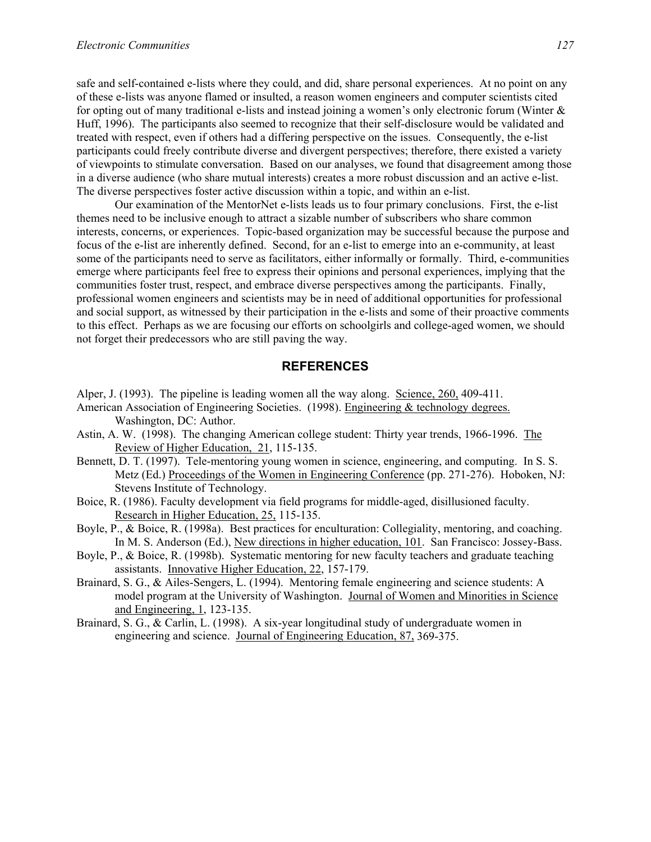safe and self-contained e-lists where they could, and did, share personal experiences. At no point on any of these e-lists was anyone flamed or insulted, a reason women engineers and computer scientists cited for opting out of many traditional e-lists and instead joining a women's only electronic forum (Winter & Huff, 1996). The participants also seemed to recognize that their self-disclosure would be validated and treated with respect, even if others had a differing perspective on the issues. Consequently, the e-list participants could freely contribute diverse and divergent perspectives; therefore, there existed a variety of viewpoints to stimulate conversation. Based on our analyses, we found that disagreement among those in a diverse audience (who share mutual interests) creates a more robust discussion and an active e-list. The diverse perspectives foster active discussion within a topic, and within an e-list.

Our examination of the MentorNet e-lists leads us to four primary conclusions. First, the e-list themes need to be inclusive enough to attract a sizable number of subscribers who share common interests, concerns, or experiences. Topic-based organization may be successful because the purpose and focus of the e-list are inherently defined. Second, for an e-list to emerge into an e-community, at least some of the participants need to serve as facilitators, either informally or formally. Third, e-communities emerge where participants feel free to express their opinions and personal experiences, implying that the communities foster trust, respect, and embrace diverse perspectives among the participants. Finally, professional women engineers and scientists may be in need of additional opportunities for professional and social support, as witnessed by their participation in the e-lists and some of their proactive comments to this effect. Perhaps as we are focusing our efforts on schoolgirls and college-aged women, we should not forget their predecessors who are still paving the way.

#### **REFERENCES**

- Alper, J. (1993). The pipeline is leading women all the way along. Science, 260, 409-411.
- American Association of Engineering Societies. (1998). Engineering & technology degrees. Washington, DC: Author.
- Astin, A. W. (1998). The changing American college student: Thirty year trends, 1966-1996. The Review of Higher Education, 21, 115-135.
- Bennett, D. T. (1997). Tele-mentoring young women in science, engineering, and computing. In S. S. Metz (Ed.) Proceedings of the Women in Engineering Conference (pp. 271-276). Hoboken, NJ: Stevens Institute of Technology.
- Boice, R. (1986). Faculty development via field programs for middle-aged, disillusioned faculty. Research in Higher Education, 25, 115-135.
- Boyle, P., & Boice, R. (1998a). Best practices for enculturation: Collegiality, mentoring, and coaching. In M. S. Anderson (Ed.), New directions in higher education, 101. San Francisco: Jossey-Bass.
- Boyle, P., & Boice, R. (1998b). Systematic mentoring for new faculty teachers and graduate teaching assistants. Innovative Higher Education, 22, 157-179.
- Brainard, S. G., & Ailes-Sengers, L. (1994). Mentoring female engineering and science students: A model program at the University of Washington. Journal of Women and Minorities in Science and Engineering, 1, 123-135.
- Brainard, S. G., & Carlin, L. (1998). A six-year longitudinal study of undergraduate women in engineering and science. Journal of Engineering Education, 87, 369-375.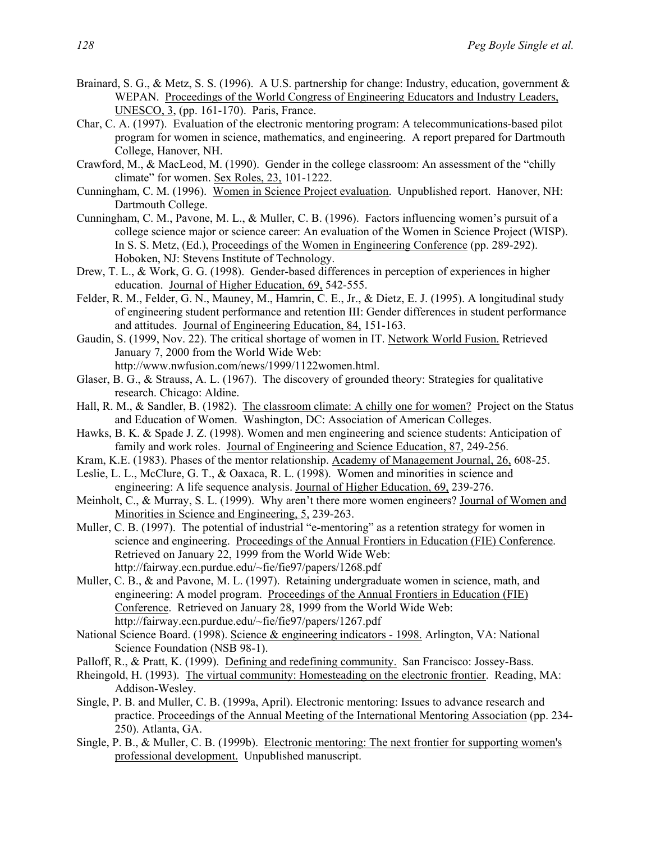- Brainard, S. G., & Metz, S. S. (1996). A U.S. partnership for change: Industry, education, government & WEPAN. Proceedings of the World Congress of Engineering Educators and Industry Leaders, UNESCO, 3, (pp. 161-170). Paris, France.
- Char, C. A. (1997). Evaluation of the electronic mentoring program: A telecommunications-based pilot program for women in science, mathematics, and engineering. A report prepared for Dartmouth College, Hanover, NH.
- Crawford, M., & MacLeod, M. (1990). Gender in the college classroom: An assessment of the "chilly climate" for women. Sex Roles, 23, 101-1222.
- Cunningham, C. M. (1996). Women in Science Project evaluation. Unpublished report. Hanover, NH: Dartmouth College.
- Cunningham, C. M., Pavone, M. L., & Muller, C. B. (1996). Factors influencing women's pursuit of a college science major or science career: An evaluation of the Women in Science Project (WISP). In S. S. Metz, (Ed.), Proceedings of the Women in Engineering Conference (pp. 289-292). Hoboken, NJ: Stevens Institute of Technology.
- Drew, T. L., & Work, G. G. (1998). Gender-based differences in perception of experiences in higher education. Journal of Higher Education, 69, 542-555.
- Felder, R. M., Felder, G. N., Mauney, M., Hamrin, C. E., Jr., & Dietz, E. J. (1995). A longitudinal study of engineering student performance and retention III: Gender differences in student performance and attitudes. Journal of Engineering Education, 84, 151-163.
- Gaudin, S. (1999, Nov. 22). The critical shortage of women in IT. Network World Fusion. Retrieved January 7, 2000 from the World Wide Web:
	- http://www.nwfusion.com/news/1999/1122women.html.
- Glaser, B. G., & Strauss, A. L. (1967). The discovery of grounded theory: Strategies for qualitative research. Chicago: Aldine.
- Hall, R. M., & Sandler, B. (1982). The classroom climate: A chilly one for women? Project on the Status and Education of Women. Washington, DC: Association of American Colleges.
- Hawks, B. K. & Spade J. Z. (1998). Women and men engineering and science students: Anticipation of family and work roles. Journal of Engineering and Science Education, 87, 249-256.
- Kram, K.E. (1983). Phases of the mentor relationship. Academy of Management Journal, 26, 608-25.
- Leslie, L. L., McClure, G. T., & Oaxaca, R. L. (1998). Women and minorities in science and engineering: A life sequence analysis. Journal of Higher Education, 69, 239-276.
- Meinholt, C., & Murray, S. L. (1999). Why aren't there more women engineers? Journal of Women and Minorities in Science and Engineering, 5, 239-263.
- Muller, C. B. (1997). The potential of industrial "e-mentoring" as a retention strategy for women in science and engineering. Proceedings of the Annual Frontiers in Education (FIE) Conference. Retrieved on January 22, 1999 from the World Wide Web: http://fairway.ecn.purdue.edu/~fie/fie97/papers/1268.pdf
- Muller, C. B., & and Pavone, M. L. (1997). Retaining undergraduate women in science, math, and engineering: A model program. Proceedings of the Annual Frontiers in Education (FIE) Conference. Retrieved on January 28, 1999 from the World Wide Web: http://fairway.ecn.purdue.edu/~fie/fie97/papers/1267.pdf
- National Science Board. (1998). Science & engineering indicators 1998. Arlington, VA: National Science Foundation (NSB 98-1).
- Palloff, R., & Pratt, K. (1999). Defining and redefining community. San Francisco: Jossey-Bass.
- Rheingold, H. (1993). The virtual community: Homesteading on the electronic frontier. Reading, MA: Addison-Wesley.
- Single, P. B. and Muller, C. B. (1999a, April). Electronic mentoring: Issues to advance research and practice. Proceedings of the Annual Meeting of the International Mentoring Association (pp. 234- 250). Atlanta, GA.
- Single, P. B., & Muller, C. B. (1999b). Electronic mentoring: The next frontier for supporting women's professional development. Unpublished manuscript.